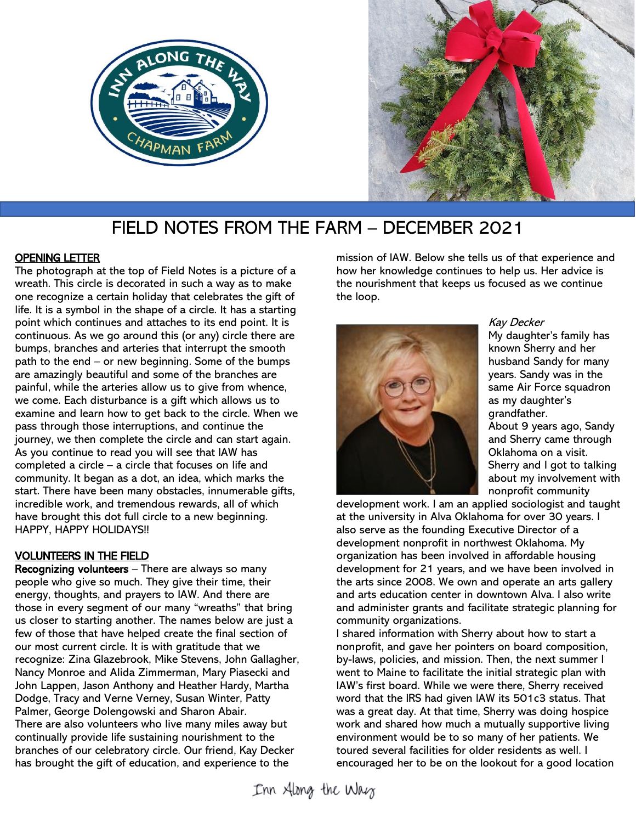



# FIELD NOTES FROM THE FARM – DECEMBER 2021

# OPENING LETTER

The photograph at the top of Field Notes is a picture of a wreath. This circle is decorated in such a way as to make one recognize a certain holiday that celebrates the gift of life. It is a symbol in the shape of a circle. It has a starting point which continues and attaches to its end point. It is continuous. As we go around this (or any) circle there are bumps, branches and arteries that interrupt the smooth path to the end – or new beginning. Some of the bumps are amazingly beautiful and some of the branches are painful, while the arteries allow us to give from whence, we come. Each disturbance is a gift which allows us to examine and learn how to get back to the circle. When we pass through those interruptions, and continue the journey, we then complete the circle and can start again. As you continue to read you will see that IAW has completed a circle – a circle that focuses on life and community. It began as a dot, an idea, which marks the start. There have been many obstacles, innumerable gifts, incredible work, and tremendous rewards, all of which have brought this dot full circle to a new beginning. HAPPY, HAPPY HOLIDAYS!!

# VOLUNTEERS IN THE FIELD

Recognizing volunteers - There are always so many people who give so much. They give their time, their energy, thoughts, and prayers to IAW. And there are those in every segment of our many "wreaths" that bring us closer to starting another. The names below are just a few of those that have helped create the final section of our most current circle. It is with gratitude that we recognize: Zina Glazebrook, Mike Stevens, John Gallagher, Nancy Monroe and Alida Zimmerman, Mary Piasecki and John Lappen, Jason Anthony and Heather Hardy, Martha Dodge, Tracy and Verne Verney, Susan Winter, Patty Palmer, George Dolengowski and Sharon Abair. There are also volunteers who live many miles away but continually provide life sustaining nourishment to the branches of our celebratory circle. Our friend, Kay Decker has brought the gift of education, and experience to the

mission of IAW. Below she tells us of that experience and how her knowledge continues to help us. Her advice is the nourishment that keeps us focused as we continue the loop.



#### Kay Decker

My daughter's family has known Sherry and her husband Sandy for many years. Sandy was in the same Air Force squadron as my daughter's grandfather. About 9 years ago, Sandy and Sherry came through Oklahoma on a visit. Sherry and I got to talking

about my involvement with nonprofit community

development work. I am an applied sociologist and taught at the university in Alva Oklahoma for over 30 years. I also serve as the founding Executive Director of a development nonprofit in northwest Oklahoma. My organization has been involved in affordable housing development for 21 years, and we have been involved in the arts since 2008. We own and operate an arts gallery and arts education center in downtown Alva. I also write and administer grants and facilitate strategic planning for community organizations.

I shared information with Sherry about how to start a nonprofit, and gave her pointers on board composition, by-laws, policies, and mission. Then, the next summer I went to Maine to facilitate the initial strategic plan with IAW's first board. While we were there, Sherry received word that the IRS had given IAW its 501c3 status. That was a great day. At that time, Sherry was doing hospice work and shared how much a mutually supportive living environment would be to so many of her patients. We toured several facilities for older residents as well. I encouraged her to be on the lookout for a good location

Inn Along the Way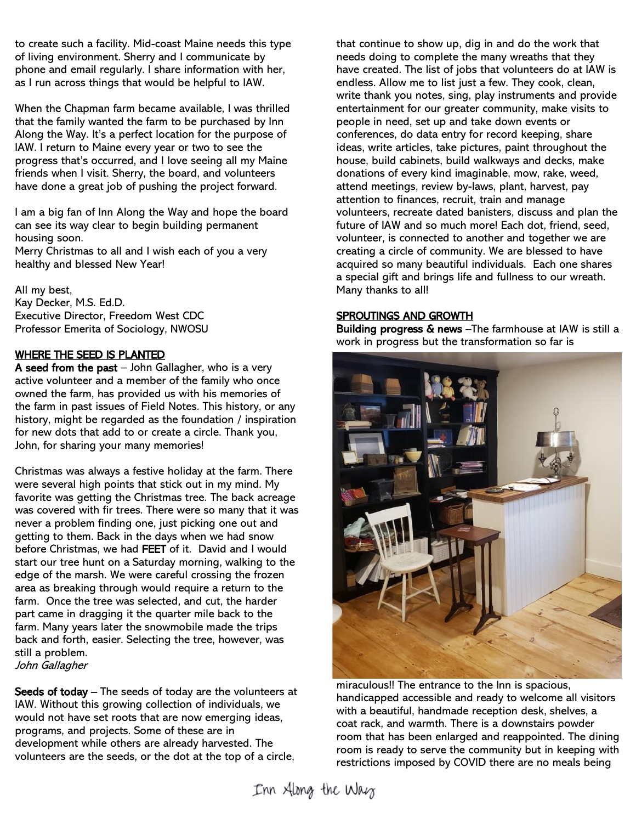to create such a facility. Mid-coast Maine needs this type of living environment. Sherry and I communicate by phone and email regularly. I share information with her, as I run across things that would be helpful to IAW.

When the Chapman farm became available, I was thrilled that the family wanted the farm to be purchased by Inn Along the Way. It's a perfect location for the purpose of IAW. I return to Maine every year or two to see the progress that's occurred, and I love seeing all my Maine friends when I visit. Sherry, the board, and volunteers have done a great job of pushing the project forward.

I am a big fan of Inn Along the Way and hope the board can see its way clear to begin building permanent housing soon. Merry Christmas to all and I wish each of you a very healthy and blessed New Year!

All my best, Kay Decker, M.S. Ed.D. Executive Director, Freedom West CDC Professor Emerita of Sociology, NWOSU

### WHERE THE SEED IS PLANTED

A seed from the past  $-$  John Gallagher, who is a very active volunteer and a member of the family who once owned the farm, has provided us with his memories of the farm in past issues of Field Notes. This history, or any history, might be regarded as the foundation / inspiration for new dots that add to or create a circle. Thank you, John, for sharing your many memories!

Christmas was always a festive holiday at the farm. There were several high points that stick out in my mind. My favorite was getting the Christmas tree. The back acreage was covered with fir trees. There were so many that it was never a problem finding one, just picking one out and getting to them. Back in the days when we had snow before Christmas, we had FEET of it. David and I would start our tree hunt on a Saturday morning, walking to the edge of the marsh. We were careful crossing the frozen area as breaking through would require a return to the farm. Once the tree was selected, and cut, the harder part came in dragging it the quarter mile back to the farm. Many years later the snowmobile made the trips back and forth, easier. Selecting the tree, however, was still a problem. John Gallagher

Seeds of today – The seeds of today are the volunteers at IAW. Without this growing collection of individuals, we would not have set roots that are now emerging ideas, programs, and projects. Some of these are in development while others are already harvested. The volunteers are the seeds, or the dot at the top of a circle,

that continue to show up, dig in and do the work that needs doing to complete the many wreaths that they have created. The list of jobs that volunteers do at IAW is endless. Allow me to list just a few. They cook, clean, write thank you notes, sing, play instruments and provide entertainment for our greater community, make visits to people in need, set up and take down events or conferences, do data entry for record keeping, share ideas, write articles, take pictures, paint throughout the house, build cabinets, build walkways and decks, make donations of every kind imaginable, mow, rake, weed, attend meetings, review by-laws, plant, harvest, pay attention to finances, recruit, train and manage volunteers, recreate dated banisters, discuss and plan the future of IAW and so much more! Each dot, friend, seed, volunteer, is connected to another and together we are creating a circle of community. We are blessed to have acquired so many beautiful individuals. Each one shares a special gift and brings life and fullness to our wreath. Many thanks to all!

# SPROUTINGS AND GROWTH

Building progress & news -The farmhouse at IAW is still a work in progress but the transformation so far is



miraculous!! The entrance to the Inn is spacious, handicapped accessible and ready to welcome all visitors with a beautiful, handmade reception desk, shelves, a coat rack, and warmth. There is a downstairs powder room that has been enlarged and reappointed. The dining room is ready to serve the community but in keeping with restrictions imposed by COVID there are no meals being

Inn Along the Way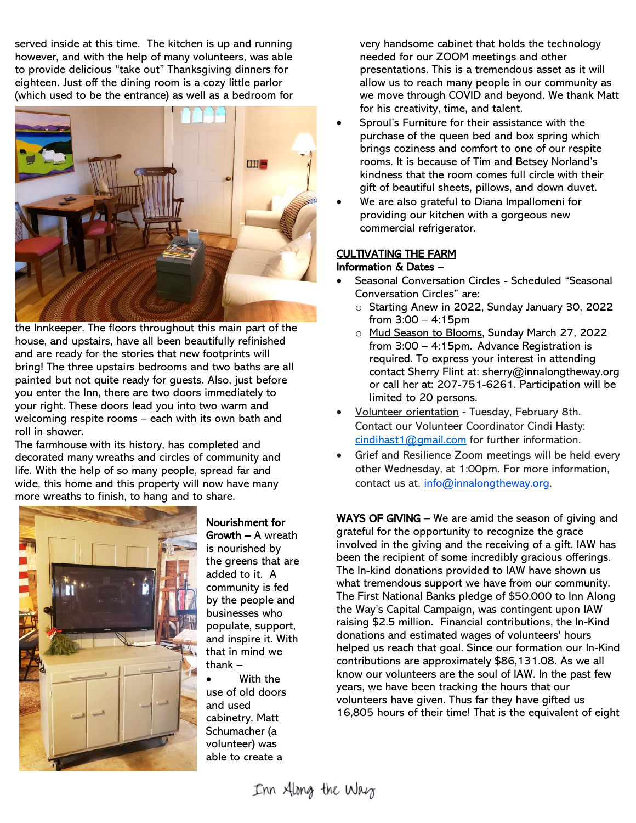served inside at this time. The kitchen is up and running however, and with the help of many volunteers, was able to provide delicious "take out" Thanksgiving dinners for eighteen. Just off the dining room is a cozy little parlor (which used to be the entrance) as well as a bedroom for



the Innkeeper. The floors throughout this main part of the house, and upstairs, have all been beautifully refinished and are ready for the stories that new footprints will bring! The three upstairs bedrooms and two baths are all painted but not quite ready for guests. Also, just before you enter the Inn, there are two doors immediately to your right. These doors lead you into two warm and welcoming respite rooms – each with its own bath and roll in shower.

The farmhouse with its history, has completed and decorated many wreaths and circles of community and life. With the help of so many people, spread far and wide, this home and this property will now have many more wreaths to finish, to hang and to share.



Nourishment for Growth – A wreath is nourished by the greens that are added to it. A community is fed by the people and businesses who populate, support, and inspire it. With that in mind we thank –

With the use of old doors and used cabinetry, Matt Schumacher (a volunteer) was able to create a

very handsome cabinet that holds the technology needed for our ZOOM meetings and other presentations. This is a tremendous asset as it will allow us to reach many people in our community as we move through COVID and beyond. We thank Matt for his creativity, time, and talent.

- Sproul's Furniture for their assistance with the purchase of the queen bed and box spring which brings coziness and comfort to one of our respite rooms. It is because of Tim and Betsey Norland's kindness that the room comes full circle with their gift of beautiful sheets, pillows, and down duvet.
- We are also grateful to Diana Impallomeni for providing our kitchen with a gorgeous new commercial refrigerator.

# CULTIVATING THE FARM

### Information & Dates –

- Seasonal Conversation Circles Scheduled "Seasonal Conversation Circles" are:
	- o Starting Anew in 2022, Sunday January 30, 2022 from 3:00 – 4:15pm
	- o Mud Season to Blooms, Sunday March 27, 2022 from 3:00 – 4:15pm. Advance Registration is required. To express your interest in attending contact Sherry Flint at: sherry@innalongtheway.org or call her at: 207-751-6261. Participation will be limited to 20 persons.
- Volunteer orientation Tuesday, February 8th. Contact our Volunteer Coordinator Cindi Hasty: [cindihast1@gmail.com](mailto:cindihast1@gmail.com) for further information.
- Grief and Resilience Zoom meetings will be held every other Wednesday, at 1:00pm. For more information, contact us at, [info@innalongtheway.org.](mailto:info@innalongtheway.org)

WAYS OF GIVING – We are amid the season of giving and grateful for the opportunity to recognize the grace involved in the giving and the receiving of a gift. IAW has been the recipient of some incredibly gracious offerings. The In-kind donations provided to IAW have shown us what tremendous support we have from our community. The First National Banks pledge of \$50,000 to Inn Along the Way's Capital Campaign, was contingent upon IAW raising \$2.5 million. Financial contributions, the In-Kind donations and estimated wages of volunteers' hours helped us reach that goal. Since our formation our In-Kind contributions are approximately \$86,131.08. As we all know our volunteers are the soul of IAW. In the past few years, we have been tracking the hours that our volunteers have given. Thus far they have gifted us 16,805 hours of their time! That is the equivalent of eight